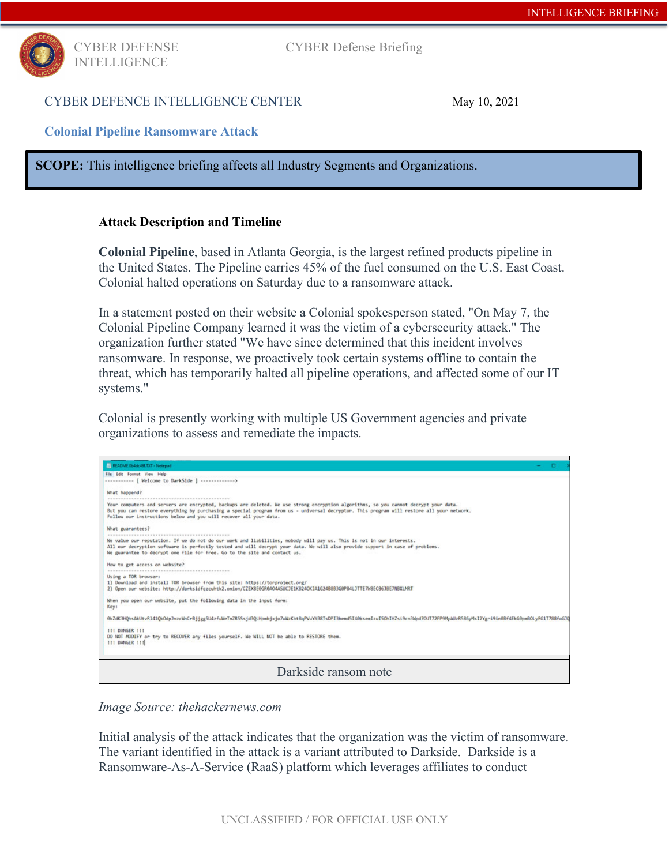

CYBER DEFENSE CYBER Defense Briefing

### CYBER DEFENCE INTELLIGENCE CENTER May 10, 2021

### **Colonial Pipeline Ransomware Attack**

**SCOPE:** This intelligence briefing affects all Industry Segments and Organizations.

#### **Attack Description and Timeline**

**Colonial Pipeline**, based in Atlanta Georgia, is the largest refined products pipeline in the United States. The Pipeline carries 45% of the fuel consumed on the U.S. East Coast. Colonial halted operations on Saturday due to a ransomware attack.

In a statement posted on their website a Colonial spokesperson stated, "On May 7, the Colonial Pipeline Company learned it was the victim of a cybersecurity attack." The organization further stated "We have since determined that this incident involves ransomware. In response, we proactively took certain systems offline to contain the threat, which has temporarily halted all pipeline operations, and affected some of our IT systems."

Colonial is presently working with multiple US Government agencies and private organizations to assess and remediate the impacts.

| README Db4dc49f.TXT - Netepad                                                                                                                                                                                                                                                                                                                                                           | n. |
|-----------------------------------------------------------------------------------------------------------------------------------------------------------------------------------------------------------------------------------------------------------------------------------------------------------------------------------------------------------------------------------------|----|
| File Edit Format View Help                                                                                                                                                                                                                                                                                                                                                              |    |
| [ Welcome to DarkSide ] >                                                                                                                                                                                                                                                                                                                                                               |    |
| What happend?                                                                                                                                                                                                                                                                                                                                                                           |    |
|                                                                                                                                                                                                                                                                                                                                                                                         |    |
| Your computers and servers are encrypted, backups are deleted. We use strong encryption algorithms, so you cannot decrypt your data.<br>But you can restore everything by purchasing a special program from us - universal decryptor. This program will restore all your network.<br>Follow our instructions below and you will recover all your data.                                  |    |
| What guarantees?<br>We value our reputation. If we do not do our work and liabilities, nobody will pay us. This is not in our interests.<br>All our decryption software is perfectly tested and will decrypt your data. We will also provide support in case of problems.<br>We guarantee to decrypt one file for free. Go to the site and contact us.<br>How to get access on website? |    |
|                                                                                                                                                                                                                                                                                                                                                                                         |    |
|                                                                                                                                                                                                                                                                                                                                                                                         |    |
| Using a TOR browser:<br>1) Download and install TOR browser from this site: https://torproject.org/<br>2) Open our website: http://darksidfgzcuhtk2.onion/CZEX8E0GR0AO4ASUCJE1K824OKJA1G2488B3G0P84LJTTE7W8EC86JBE7NBXLMRT                                                                                                                                                              |    |
| When you open our website, put the following data in the input form:<br>Key:                                                                                                                                                                                                                                                                                                            |    |
| @kZdK3HQhsAkUtvR141QkOdpJvzcWnCrBjjgg5U4zfuWeTnZR5Ssjd3QLHpmbjxjo7uWzKbt8qPVuYN38TsDPI3bemd5I40ksemIzuI5Oh1HZsi9cn3Wpd7OUT72FP9MyAUzR586yMsI2Ygri9in@Bf4EkG0pmBOLyRG1T788foGJQ                                                                                                                                                                                                          |    |
| <b>111 DANGER 111</b><br>DO NOT MODIFY or try to RECOVER any files yourself. We WILL NOT be able to RESTORE them.<br><b>111 DANGER 111</b>                                                                                                                                                                                                                                              |    |
| Darkside ransom note                                                                                                                                                                                                                                                                                                                                                                    |    |

*Image Source: thehackernews.com*

Initial analysis of the attack indicates that the organization was the victim of ransomware. The variant identified in the attack is a variant attributed to Darkside. Darkside is a Ransomware-As-A-Service (RaaS) platform which leverages affiliates to conduct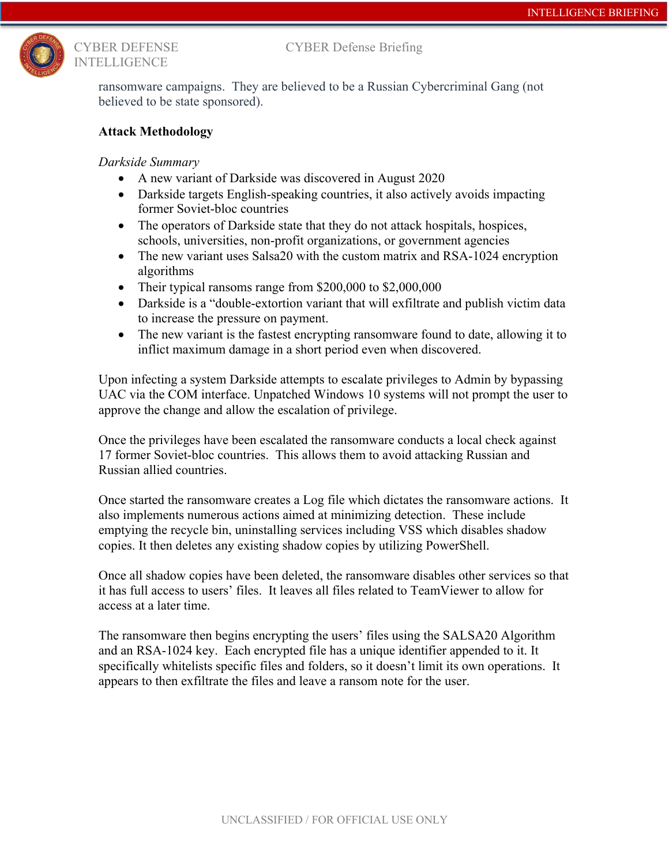

INTELLIGENCE

ransomware campaigns. They are believed to be a Russian Cybercriminal Gang (not believed to be state sponsored).

## **Attack Methodology**

*Darkside Summary*

- A new variant of Darkside was discovered in August 2020
- Darkside targets English-speaking countries, it also actively avoids impacting former Soviet-bloc countries
- The operators of Darkside state that they do not attack hospitals, hospices, schools, universities, non-profit organizations, or government agencies
- The new variant uses Salsa 20 with the custom matrix and RSA-1024 encryption algorithms
- Their typical ransoms range from \$200,000 to \$2,000,000
- Darkside is a "double-extortion variant that will exfiltrate and publish victim data to increase the pressure on payment.
- The new variant is the fastest encrypting ransomware found to date, allowing it to inflict maximum damage in a short period even when discovered.

Upon infecting a system Darkside attempts to escalate privileges to Admin by bypassing UAC via the COM interface. Unpatched Windows 10 systems will not prompt the user to approve the change and allow the escalation of privilege.

Once the privileges have been escalated the ransomware conducts a local check against 17 former Soviet-bloc countries. This allows them to avoid attacking Russian and Russian allied countries.

Once started the ransomware creates a Log file which dictates the ransomware actions. It also implements numerous actions aimed at minimizing detection. These include emptying the recycle bin, uninstalling services including VSS which disables shadow copies. It then deletes any existing shadow copies by utilizing PowerShell.

Once all shadow copies have been deleted, the ransomware disables other services so that it has full access to users' files. It leaves all files related to TeamViewer to allow for access at a later time.

The ransomware then begins encrypting the users' files using the SALSA20 Algorithm and an RSA-1024 key. Each encrypted file has a unique identifier appended to it. It specifically whitelists specific files and folders, so it doesn't limit its own operations. It appears to then exfiltrate the files and leave a ransom note for the user.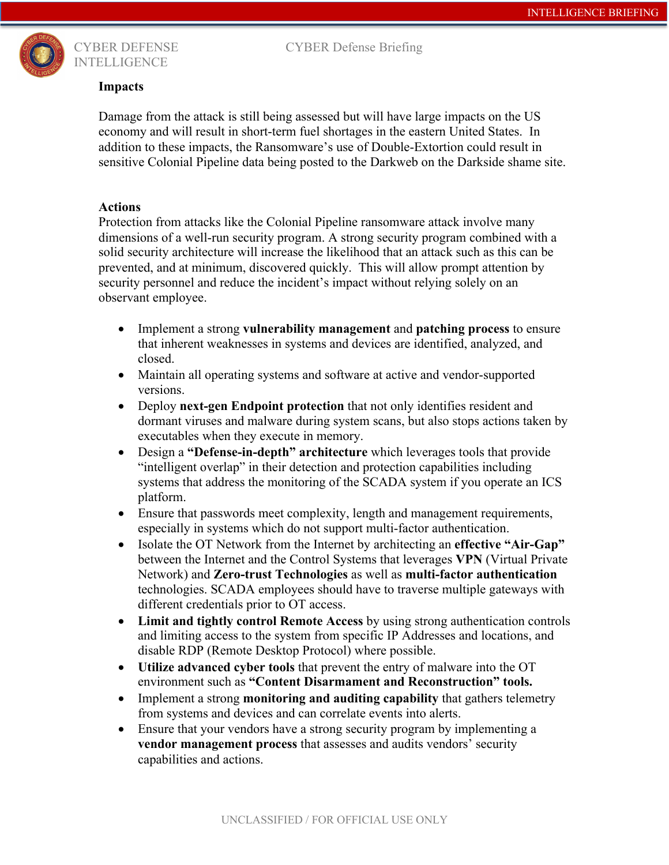

### **Impacts**

Damage from the attack is still being assessed but will have large impacts on the US economy and will result in short-term fuel shortages in the eastern United States. In addition to these impacts, the Ransomware's use of Double-Extortion could result in sensitive Colonial Pipeline data being posted to the Darkweb on the Darkside shame site.

### **Actions**

Protection from attacks like the Colonial Pipeline ransomware attack involve many dimensions of a well-run security program. A strong security program combined with a solid security architecture will increase the likelihood that an attack such as this can be prevented, and at minimum, discovered quickly. This will allow prompt attention by security personnel and reduce the incident's impact without relying solely on an observant employee.

- Implement a strong **vulnerability management** and **patching process** to ensure that inherent weaknesses in systems and devices are identified, analyzed, and closed.
- Maintain all operating systems and software at active and vendor-supported versions.
- Deploy **next-gen Endpoint protection** that not only identifies resident and dormant viruses and malware during system scans, but also stops actions taken by executables when they execute in memory.
- Design a **"Defense-in-depth" architecture** which leverages tools that provide "intelligent overlap" in their detection and protection capabilities including systems that address the monitoring of the SCADA system if you operate an ICS platform.
- Ensure that passwords meet complexity, length and management requirements, especially in systems which do not support multi-factor authentication.
- Isolate the OT Network from the Internet by architecting an **effective "Air-Gap"** between the Internet and the Control Systems that leverages **VPN** (Virtual Private Network) and **Zero-trust Technologies** as well as **multi-factor authentication** technologies. SCADA employees should have to traverse multiple gateways with different credentials prior to OT access.
- **Limit and tightly control Remote Access** by using strong authentication controls and limiting access to the system from specific IP Addresses and locations, and disable RDP (Remote Desktop Protocol) where possible.
- **Utilize advanced cyber tools** that prevent the entry of malware into the OT environment such as **"Content Disarmament and Reconstruction" tools.**
- Implement a strong **monitoring and auditing capability** that gathers telemetry from systems and devices and can correlate events into alerts.
- Ensure that your vendors have a strong security program by implementing a **vendor management process** that assesses and audits vendors' security capabilities and actions.